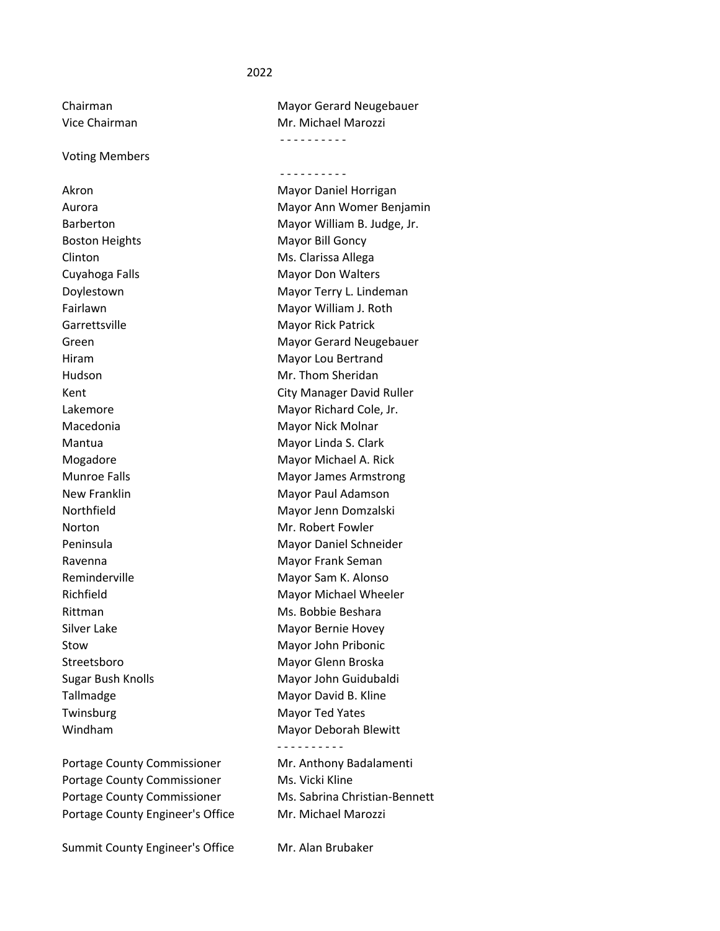## 2022

Voting Members

Akron Mayor Daniel Horrigan Boston Heights Mayor Bill Goncy Clinton Ms. Clarissa Allega Garrettsville Mayor Rick Patrick Norton Mr. Robert Fowler Twinsburg Mayor Ted Yates

Portage County Commissioner Mr. Anthony Badalamenti Portage County Commissioner Ms. Vicki Kline Portage County Commissioner Ms. Sabrina Christian-Bennett Portage County Engineer's Office Mr. Michael Marozzi

Summit County Engineer's Office Mr. Alan Brubaker

Chairman Mayor Gerard Neugebauer Vice Chairman Mr. Michael Marozzi ‐ ‐ ‐ ‐ ‐ ‐ ‐ ‐ ‐ ‐

‐ ‐ ‐ ‐ ‐ ‐ ‐ ‐ ‐ ‐

Aurora **Mayor Ann Womer Benjamin** Barberton Mayor William B. Judge, Jr. Cuyahoga Falls Mayor Don Walters Doylestown **Mayor Terry L. Lindeman** Fairlawn **Mayor William J. Roth** Green **Green** Mayor Gerard Neugebauer Hiram Mayor Lou Bertrand Hudson Mr. Thom Sheridan Kent City Manager David Ruller Lakemore **Mayor Richard Cole**, Jr. Macedonia **Mayor Nick Molnar** Mantua **Mantua** Mayor Linda S. Clark Mogadore Mayor Michael A. Rick Munroe Falls **Mayor James Armstrong** New Franklin Mayor Paul Adamson Northfield Mayor Jenn Domzalski Peninsula Mayor Daniel Schneider Ravenna **Mayor Frank Seman** Reminderville Mayor Sam K. Alonso Richfield Mayor Michael Wheeler Rittman Ms. Bobbie Beshara Silver Lake Mayor Bernie Hovey Stow Mayor John Pribonic Streetsboro Mayor Glenn Broska Sugar Bush Knolls Mayor John Guidubaldi Tallmadge Mayor David B. Kline Windham Mayor Deborah Blewitt ‐ ‐ ‐ ‐ ‐ ‐ ‐ ‐ ‐ ‐